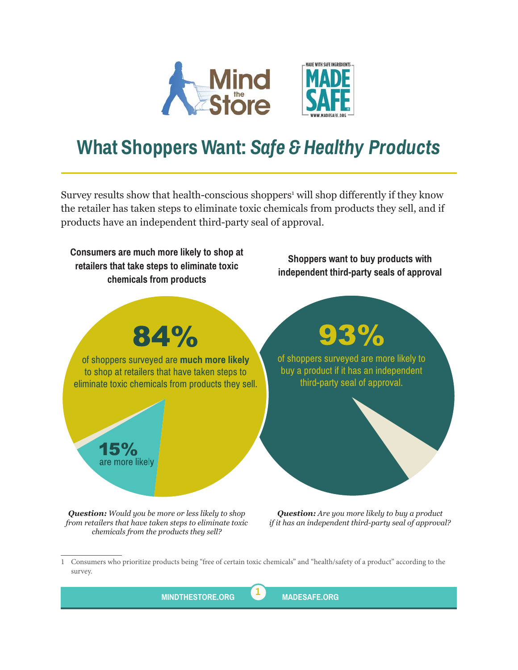

## **What Shoppers Want:** *Safe & Healthy Products*

Survey results show that health-conscious shoppers<sup>1</sup> will shop differently if they know the retailer has taken steps to eliminate toxic chemicals from products they sell, and if products have an independent third-party seal of approval.



*chemicals from the products they sell?*

*if it has an independent third-party seal of approval?*

<sup>1</sup> Consumers who prioritize products being "free of certain toxic chemicals" and "health/safety of a product" according to the survey.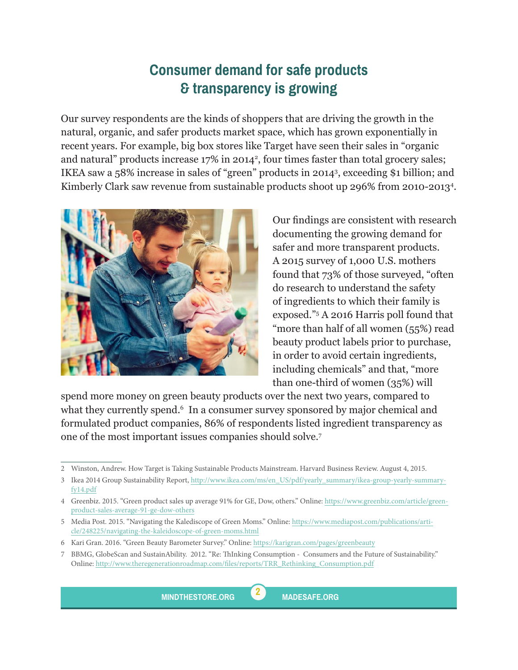## **Consumer demand for safe products & transparency is growing**

Our survey respondents are the kinds of shoppers that are driving the growth in the natural, organic, and safer products market space, which has grown exponentially in recent years. For example, big box stores like Target have seen their sales in "organic and natural" products increase 17% in 2014<sup>2</sup>, four times faster than total grocery sales; IKEA saw a 58% increase in sales of "green" products in 2014<sup>3</sup> , exceeding \$1 billion; and Kimberly Clark saw revenue from sustainable products shoot up 296% from 2010-2013<sup>4</sup> .



Our findings are consistent with research documenting the growing demand for safer and more transparent products. A 2015 survey of 1,000 U.S. mothers found that 73% of those surveyed, "often do research to understand the safety of ingredients to which their family is exposed."<sup>5</sup> A 2016 Harris poll found that "more than half of all women (55%) read beauty product labels prior to purchase, in order to avoid certain ingredients, including chemicals" and that, "more than one-third of women (35%) will

spend more money on green beauty products over the next two years, compared to what they currently spend.6 In a consumer survey sponsored by major chemical and formulated product companies, 86% of respondents listed ingredient transparency as one of the most important issues companies should solve.<sup>7</sup>



<sup>2</sup> Winston, Andrew. How Target is Taking Sustainable Products Mainstream. Harvard Business Review. August 4, 2015.

<sup>3</sup> Ikea 2014 Group Sustainability Report, [http://www.ikea.com/ms/en\\_US/pdf/yearly\\_summary/ikea-group-yearly-summary](http://www.ikea.com/ms/en_US/pdf/yearly_summary/ikea-group-yearly-summary-fy14.pdf)[fy14.pdf](http://www.ikea.com/ms/en_US/pdf/yearly_summary/ikea-group-yearly-summary-fy14.pdf)

<sup>4</sup> Greenbiz. 2015. "Green product sales up average 91% for GE, Dow, others." Online: [https://www.greenbiz.com/article/green](https://www.greenbiz.com/article/green-product-sales-average-91-ge-dow-others)[product-sales-average-91-ge-dow-others](https://www.greenbiz.com/article/green-product-sales-average-91-ge-dow-others)

<sup>5</sup> Media Post. 2015. "Navigating the Kalediscope of Green Moms." Online: [https://www.mediapost.com/publications/arti](https://www.mediapost.com/publications/article/248225/navigating-the-kaleidoscope-of-green-moms.html)[cle/248225/navigating-the-kaleidoscope-of-green-moms.html](https://www.mediapost.com/publications/article/248225/navigating-the-kaleidoscope-of-green-moms.html)

<sup>6</sup> Kari Gran. 2016. "Green Beauty Barometer Survey." Online: <https://karigran.com/pages/greenbeauty>

<sup>7</sup> BBMG, GlobeScan and SustainAbility. 2012. "Re: ThInking Consumption - Consumers and the Future of Sustainability." Online: [http://www.theregenerationroadmap.com/files/reports/TRR\\_Rethinking\\_Consumption.pdf](http://www.theregenerationroadmap.com/files/reports/TRR_Rethinking_Consumption.pdf)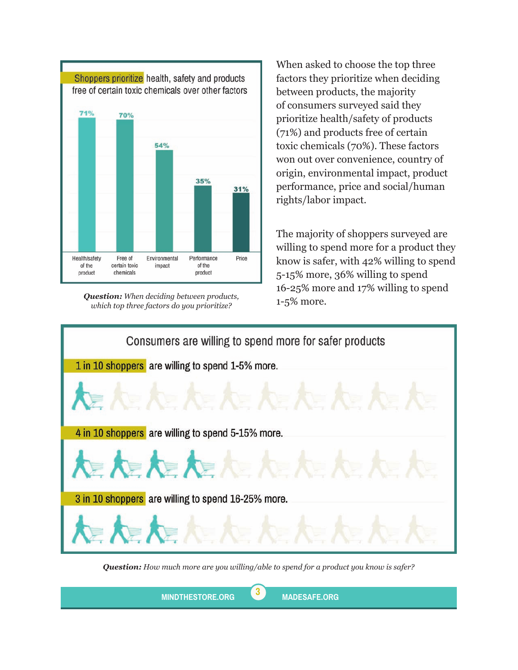

**Question:** When deciding between products,<br>
which to three factors do you prioritize? 1-5% more. *which top three factors do you prioritize?*

When asked to choose the top three factors they prioritize when deciding between products, the majority of consumers surveyed said they prioritize health/safety of products (71%) and products free of certain toxic chemicals (70%). These factors won out over convenience, country of origin, environmental impact, product performance, price and social/human rights/labor impact.

The majority of shoppers surveyed are willing to spend more for a product they know is safer, with 42% willing to spend 5-15% more, 36% willing to spend 16-25% more and 17% willing to spend



*Question: How much more are you willing/able to spend for a product you know is safer?*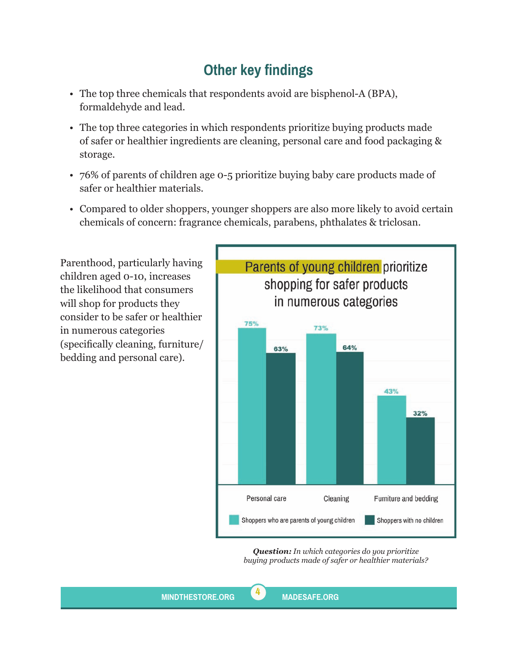## **Other key findings**

- The top three chemicals that respondents avoid are bisphenol-A (BPA), formaldehyde and lead.
- The top three categories in which respondents prioritize buying products made of safer or healthier ingredients are cleaning, personal care and food packaging & storage.
- 76% of parents of children age 0-5 prioritize buying baby care products made of safer or healthier materials.
- Compared to older shoppers, younger shoppers are also more likely to avoid certain chemicals of concern: fragrance chemicals, parabens, phthalates & triclosan.

Parenthood, particularly having children aged 0-10, increases the likelihood that consumers will shop for products they consider to be safer or healthier in numerous categories (specifically cleaning, furniture/ bedding and personal care).



*Question: In which categories do you prioritize buying products made of safer or healthier materials?*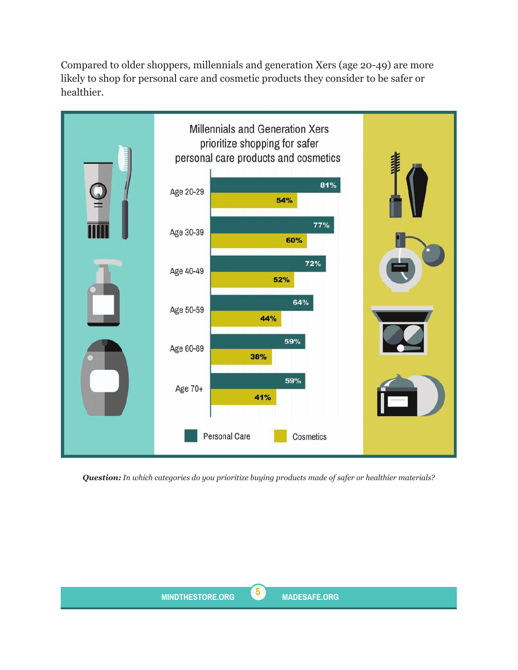Compared to older shoppers, millennials and generation Xers (age 20-49) are more likely to shop for personal care and cosmetic products they consider to be safer or healthier.



*Question: In which categories do you prioritize buying products made of safer or healthier materials?*